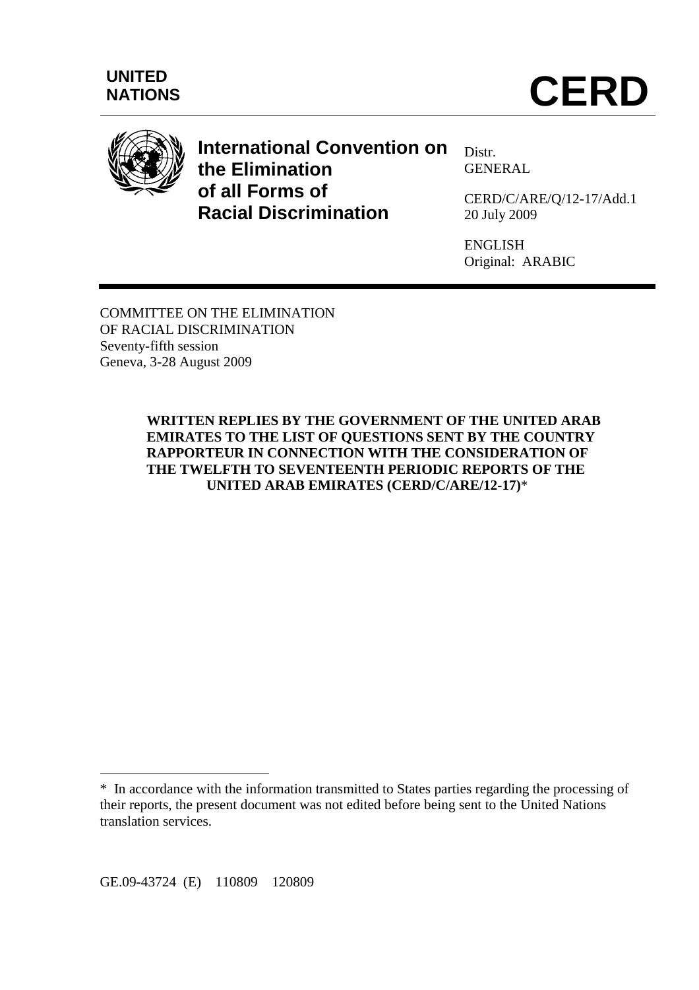

# **International Convention on the Elimination of all Forms of Racial Discrimination**

Distr. **GENERAL** 

CERD/C/ARE/Q/12-17/Add.1 20 July 2009

ENGLISH Original: ARABIC

COMMITTEE ON THE ELIMINATION OF RACIAL DISCRIMINATION Seventy-fifth session Geneva, 3-28 August 2009

> **WRITTEN REPLIES BY THE GOVERNMENT OF THE UNITED ARAB EMIRATES TO THE LIST OF QUESTIONS SENT BY THE COUNTRY RAPPORTEUR IN CONNECTION WITH THE CONSIDERATION OF THE TWELFTH TO SEVENTEENTH PERIODIC REPORTS OF THE UNITED ARAB EMIRATES (CERD/C/ARE/12-17)**\*

GE.09-43724 (E) 110809 120809

 $\overline{a}$ 

<sup>\*</sup> In accordance with the information transmitted to States parties regarding the processing of their reports, the present document was not edited before being sent to the United Nations translation services.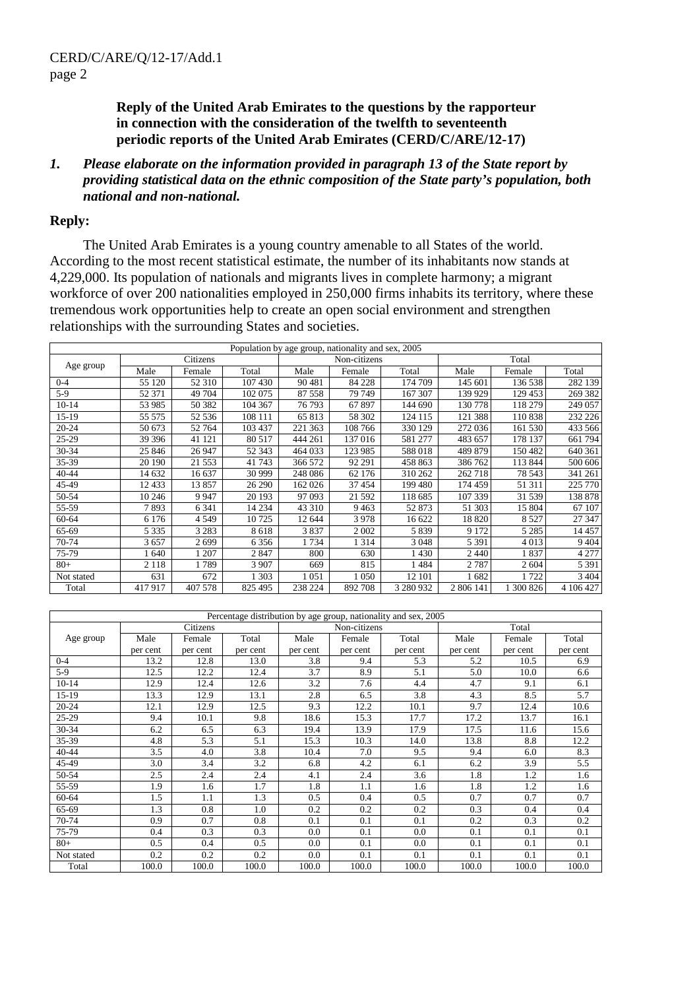**Reply of the United Arab Emirates to the questions by the rapporteur in connection with the consideration of the twelfth to seventeenth periodic reports of the United Arab Emirates (CERD/C/ARE/12-17)** 

*1. Please elaborate on the information provided in paragraph 13 of the State report by providing statistical data on the ethnic composition of the State party's population, both national and non-national.* 

#### **Reply:**

 The United Arab Emirates is a young country amenable to all States of the world. According to the most recent statistical estimate, the number of its inhabitants now stands at 4,229,000. Its population of nationals and migrants lives in complete harmony; a migrant workforce of over 200 nationalities employed in 250,000 firms inhabits its territory, where these tremendous work opportunities help to create an open social environment and strengthen relationships with the surrounding States and societies.

| Population by age group, nationality and sex, 2005 |         |          |         |         |              |           |           |         |           |  |
|----------------------------------------------------|---------|----------|---------|---------|--------------|-----------|-----------|---------|-----------|--|
|                                                    |         | Citizens |         |         | Non-citizens |           | Total     |         |           |  |
| Age group                                          | Male    | Female   | Total   | Male    | Female       | Total     | Male      | Female  | Total     |  |
| $0 - 4$                                            | 55 120  | 52 310   | 107430  | 90 481  | 84 228       | 174 709   | 145 601   | 136 538 | 282 139   |  |
| $5-9$                                              | 52 371  | 49 704   | 102 075 | 87 558  | 79 749       | 167 307   | 139 929   | 129 453 | 269 382   |  |
| $10 - 14$                                          | 53 985  | 50 382   | 104 367 | 76 793  | 67897        | 144 690   | 130 778   | 118 279 | 249 057   |  |
| 15-19                                              | 55 575  | 52 536   | 108 111 | 65813   | 58 302       | 124 115   | 121 388   | 110838  | 232 226   |  |
| $20 - 24$                                          | 50 673  | 52 764   | 103 437 | 221 363 | 108 766      | 330 129   | 272 036   | 161 530 | 433 566   |  |
| $25-29$                                            | 39 39 6 | 41 121   | 80 517  | 444 261 | 137 016      | 581 277   | 483 657   | 178 137 | 661 794   |  |
| 30-34                                              | 25 846  | 26 947   | 52 343  | 464 033 | 123 985      | 588018    | 489 879   | 150 482 | 640 361   |  |
| 35-39                                              | 20 190  | 21 553   | 41 743  | 366 572 | 92 291       | 458 863   | 386 762   | 113 844 | 500 606   |  |
| 40-44                                              | 14 632  | 16 637   | 30 999  | 248 086 | 62 176       | 310 262   | 262 718   | 78 543  | 341 261   |  |
| 45-49                                              | 12 433  | 13857    | 26 290  | 162 026 | 37 454       | 199 480   | 174 459   | 51 311  | 225 770   |  |
| 50-54                                              | 10 24 6 | 9 9 4 7  | 20 193  | 97 093  | 21 5 9 2     | 118 685   | 107 339   | 31 539  | 138 878   |  |
| 55-59                                              | 7893    | 6 3 4 1  | 14 2 34 | 43 310  | 9463         | 52 873    | 51 303    | 15 804  | 67 107    |  |
| $60 - 64$                                          | 6 1 7 6 | 4549     | 10725   | 12 644  | 3978         | 16 622    | 18820     | 8527    | 27 347    |  |
| 65-69                                              | 5 3 3 5 | 3 2 8 3  | 8618    | 3837    | 2 0 0 2      | 5839      | 9 1 7 2   | 5 2 8 5 | 14 4 5 7  |  |
| 70-74                                              | 3657    | 2699     | 6356    | 1734    | 1 3 1 4      | 3 0 4 8   | 5 3 9 1   | 4013    | 9 4 0 4   |  |
| 75-79                                              | 1640    | 1 207    | 2847    | 800     | 630          | 1430      | 2 4 4 0   | 1837    | 4 2 7 7   |  |
| $80+$                                              | 2 1 1 8 | 1789     | 3 907   | 669     | 815          | 1484      | 2787      | 2 604   | 5 3 9 1   |  |
| Not stated                                         | 631     | 672      | 1 303   | 1 051   | 1 0 5 0      | 12 101    | 682       | 1 722   | 3 4 0 4   |  |
| Total                                              | 417917  | 407 578  | 825 495 | 238 224 | 892 708      | 3 280 932 | 2 806 141 | 300 826 | 4 106 427 |  |

| Percentage distribution by age group, nationality and sex, 2005 |          |          |          |          |              |          |          |          |          |  |
|-----------------------------------------------------------------|----------|----------|----------|----------|--------------|----------|----------|----------|----------|--|
|                                                                 | Citizens |          |          |          | Non-citizens |          | Total    |          |          |  |
| Age group                                                       | Male     | Female   | Total    | Male     | Female       | Total    | Male     | Female   | Total    |  |
|                                                                 | per cent | per cent | per cent | per cent | per cent     | per cent | per cent | per cent | per cent |  |
| $0 - 4$                                                         | 13.2     | 12.8     | 13.0     | 3.8      | 9.4          | 5.3      | 5.2      | 10.5     | 6.9      |  |
| $5-9$                                                           | 12.5     | 12.2     | 12.4     | 3.7      | 8.9          | 5.1      | 5.0      | 10.0     | 6.6      |  |
| $10 - 14$                                                       | 12.9     | 12.4     | 12.6     | 3.2      | 7.6          | 4.4      | 4.7      | 9.1      | 6.1      |  |
| 15-19                                                           | 13.3     | 12.9     | 13.1     | 2.8      | 6.5          | 3.8      | 4.3      | 8.5      | 5.7      |  |
| $20 - 24$                                                       | 12.1     | 12.9     | 12.5     | 9.3      | 12.2         | 10.1     | 9.7      | 12.4     | 10.6     |  |
| 25-29                                                           | 9.4      | 10.1     | 9.8      | 18.6     | 15.3         | 17.7     | 17.2     | 13.7     | 16.1     |  |
| 30-34                                                           | 6.2      | 6.5      | 6.3      | 19.4     | 13.9         | 17.9     | 17.5     | 11.6     | 15.6     |  |
| 35-39                                                           | 4.8      | 5.3      | 5.1      | 15.3     | 10.3         | 14.0     | 13.8     | 8.8      | 12.2     |  |
| $40 - 44$                                                       | 3.5      | 4.0      | 3.8      | 10.4     | 7.0          | 9.5      | 9.4      | 6.0      | 8.3      |  |
| 45-49                                                           | 3.0      | 3.4      | 3.2      | 6.8      | 4.2          | 6.1      | 6.2      | 3.9      | 5.5      |  |
| 50-54                                                           | 2.5      | 2.4      | 2.4      | 4.1      | 2.4          | 3.6      | 1.8      | 1.2      | 1.6      |  |
| 55-59                                                           | 1.9      | 1.6      | 1.7      | 1.8      | 1.1          | 1.6      | 1.8      | 1.2      | 1.6      |  |
| 60-64                                                           | 1.5      | 1.1      | 1.3      | 0.5      | 0.4          | 0.5      | 0.7      | 0.7      | 0.7      |  |
| 65-69                                                           | 1.3      | 0.8      | 1.0      | 0.2      | 0.2          | 0.2      | 0.3      | 0.4      | 0.4      |  |
| 70-74                                                           | 0.9      | 0.7      | 0.8      | 0.1      | 0.1          | 0.1      | 0.2      | 0.3      | 0.2      |  |
| 75-79                                                           | 0.4      | 0.3      | 0.3      | 0.0      | 0.1          | 0.0      | 0.1      | 0.1      | 0.1      |  |
| $80+$                                                           | 0.5      | 0.4      | 0.5      | 0.0      | 0.1          | 0.0      | 0.1      | 0.1      | 0.1      |  |
| Not stated                                                      | 0.2      | 0.2      | 0.2      | 0.0      | 0.1          | 0.1      | 0.1      | 0.1      | 0.1      |  |
| Total                                                           | 100.0    | 100.0    | 100.0    | 100.0    | 100.0        | 100.0    | 100.0    | 100.0    | 100.0    |  |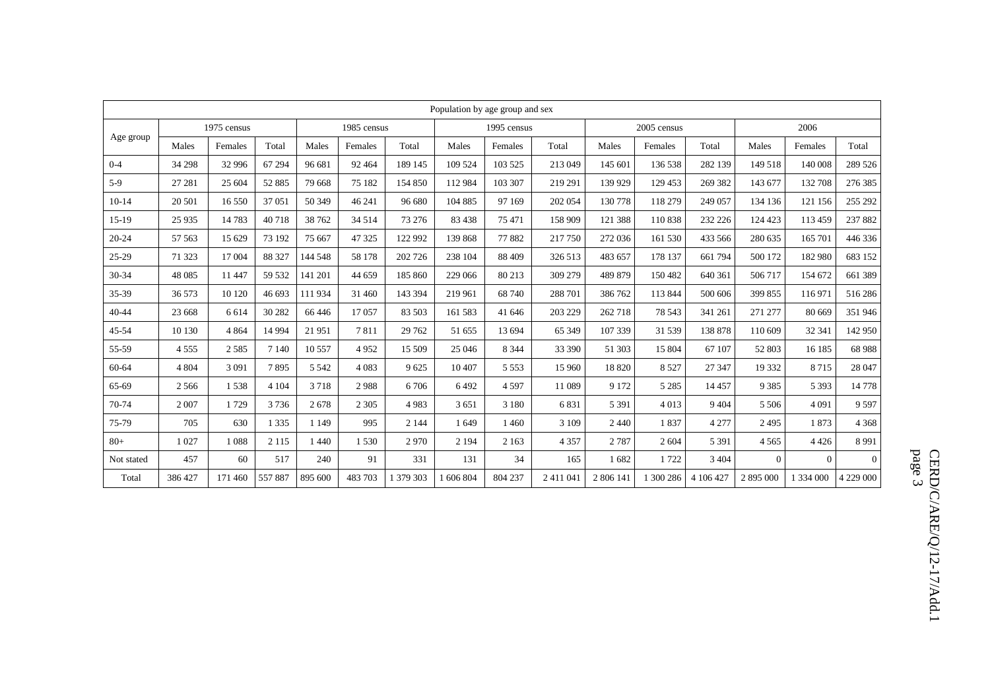|            | Population by age group and sex |         |             |         |             |           |             |         |         |           |           |           |           |           |                |
|------------|---------------------------------|---------|-------------|---------|-------------|-----------|-------------|---------|---------|-----------|-----------|-----------|-----------|-----------|----------------|
|            | 1975 census                     |         | 1985 census |         | 1995 census |           | 2005 census |         |         | 2006      |           |           |           |           |                |
| Age group  | Males                           | Females | Total       | Males   | Females     | Total     | Males       | Females | Total   | Males     | Females   | Total     | Males     | Females   | Total          |
| $0 - 4$    | 34 298                          | 32 996  | 67 294      | 96 681  | 92 4 64     | 189 145   | 109 524     | 103 525 | 213 049 | 145 601   | 136 538   | 282 139   | 149 518   | 140 008   | 289 526        |
| $5-9$      | 27 281                          | 25 604  | 52 885      | 79 668  | 75 182      | 154 850   | 112 984     | 103 307 | 219 291 | 139 929   | 129 453   | 269 382   | 143 677   | 132 708   | 276 385        |
| $10-14$    | 20 501                          | 16 550  | 37 051      | 50 349  | 46 241      | 96 680    | 104 885     | 97 169  | 202 054 | 130 778   | 118 279   | 249 057   | 134 136   | 121 156   | 255 292        |
| 15-19      | 25 9 35                         | 14783   | 40718       | 38 762  | 34 5 14     | 73 276    | 83 438      | 75 471  | 158 909 | 121 388   | 110 838   | 232 226   | 124 423   | 113 459   | 237882         |
| $20 - 24$  | 57 563                          | 15 629  | 73 192      | 75 667  | 47 325      | 122 992   | 139 868     | 77882   | 217 750 | 272 036   | 161 530   | 433 566   | 280 635   | 165 701   | 446 336        |
| 25-29      | 71 323                          | 17 004  | 88 327      | 144 548 | 58 178      | 202 726   | 238 104     | 88 409  | 326 513 | 483 657   | 178 137   | 661 794   | 500 172   | 182 980   | 683 152        |
| 30-34      | 48 0 85                         | 11 447  | 59 532      | 141 201 | 44 659      | 185 860   | 229 066     | 80 213  | 309 279 | 489 879   | 150 482   | 640 361   | 506 717   | 154 672   | 661 389        |
| 35-39      | 36 573                          | 10 120  | 46 693      | 111934  | 31 460      | 143 394   | 219 961     | 68 740  | 288 701 | 386 762   | 113 844   | 500 606   | 399 855   | 116 971   | 516 286        |
| $40 - 44$  | 23 668                          | 6 6 1 4 | 30 282      | 66 4 46 | 17057       | 83 503    | 161 583     | 41 646  | 203 229 | 262 718   | 78 543    | 341 261   | 271 277   | 80 669    | 351 946        |
| 45-54      | 10 130                          | 4 8 6 4 | 14 9 94     | 21951   | 7811        | 29 7 62   | 51 655      | 13 694  | 65 349  | 107 339   | 31 539    | 138 878   | 110 609   | 32 341    | 142 950        |
| 55-59      | 4 5 5 5                         | 2585    | 7 1 4 0     | 10 557  | 4952        | 15 509    | 25 04 6     | 8 3 4 4 | 33 390  | 51 303    | 15 804    | 67 107    | 52 803    | 16 185    | 68 988         |
| 60-64      | 4 8 0 4                         | 3 0 9 1 | 7895        | 5 5 4 2 | 4 0 8 3     | 9625      | 10 407      | 5 5 5 3 | 15 960  | 18 8 20   | 8 5 2 7   | 27 347    | 19 332    | 8715      | 28 047         |
| 65-69      | 2 5 6 6                         | 1538    | 4 1 0 4     | 3718    | 2988        | 6706      | 6492        | 4597    | 11 089  | 9 1 7 2   | 5 2 8 5   | 14 4 5 7  | 9 3 8 5   | 5 3 9 3   | 14 778         |
| 70-74      | 2 0 0 7                         | 1729    | 3736        | 2678    | 2 3 0 5     | 4983      | 3651        | 3 1 8 0 | 6831    | 5 3 9 1   | 4 0 1 3   | 9 4 0 4   | 5 5 0 6   | 4 0 9 1   | 9597           |
| 75-79      | 705                             | 630     | 1 3 3 5     | 1 1 4 9 | 995         | 2 1 4 4   | 1649        | 1460    | 3 1 0 9 | 2440      | 1837      | 4 2 7 7   | 2495      | 1873      | 4 3 6 8        |
| $80+$      | 1 0 2 7                         | 1088    | 2 1 1 5     | 1 4 4 0 | 1 530       | 2970      | 2 1 9 4     | 2 1 6 3 | 4 3 5 7 | 2787      | 2 604     | 5 3 9 1   | 4565      | 4426      | 8991           |
| Not stated | 457                             | 60      | 517         | 240     | 91          | 331       | 131         | 34      | 165     | 1682      | 1722      | 3 4 0 4   | $\Omega$  | $\Omega$  | $\overline{0}$ |
| Total      | 386 427                         | 171 460 | 557887      | 895 600 | 483 703     | 1 379 303 | 1 606 804   | 804 237 | 2411041 | 2 806 141 | 1 300 286 | 4 106 427 | 2 895 000 | 1 334 000 | 4 229 000      |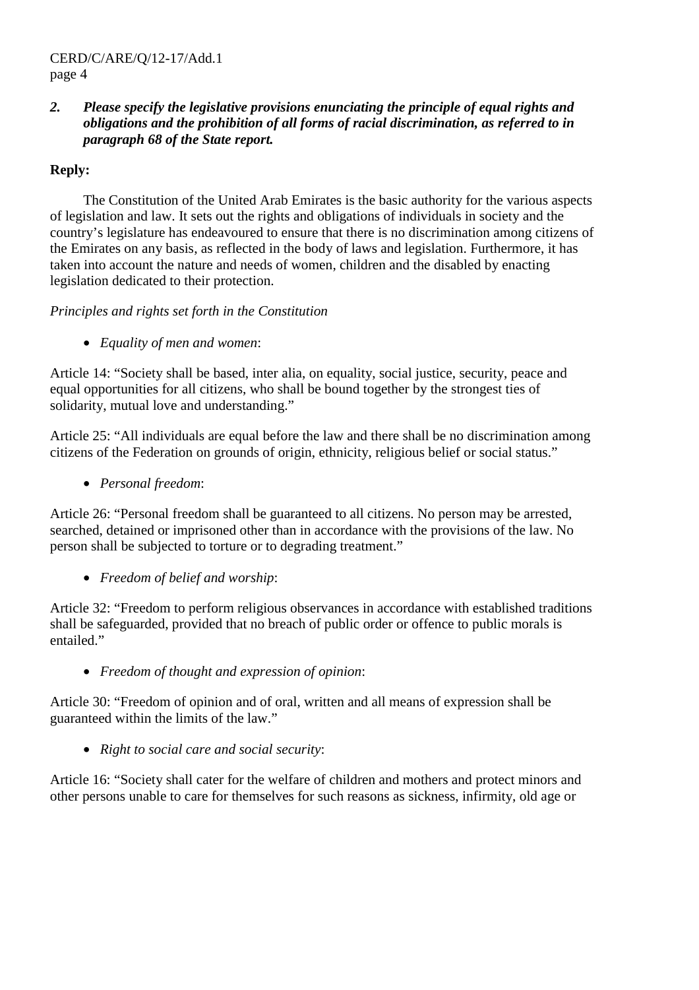# *2. Please specify the legislative provisions enunciating the principle of equal rights and obligations and the prohibition of all forms of racial discrimination, as referred to in paragraph 68 of the State report.*

# **Reply:**

 The Constitution of the United Arab Emirates is the basic authority for the various aspects of legislation and law. It sets out the rights and obligations of individuals in society and the country's legislature has endeavoured to ensure that there is no discrimination among citizens of the Emirates on any basis, as reflected in the body of laws and legislation. Furthermore, it has taken into account the nature and needs of women, children and the disabled by enacting legislation dedicated to their protection.

# *Principles and rights set forth in the Constitution*

• *Equality of men and women*:

Article 14: "Society shall be based, inter alia, on equality, social justice, security, peace and equal opportunities for all citizens, who shall be bound together by the strongest ties of solidarity, mutual love and understanding."

Article 25: "All individuals are equal before the law and there shall be no discrimination among citizens of the Federation on grounds of origin, ethnicity, religious belief or social status."

• *Personal freedom*:

Article 26: "Personal freedom shall be guaranteed to all citizens. No person may be arrested, searched, detained or imprisoned other than in accordance with the provisions of the law. No person shall be subjected to torture or to degrading treatment."

# • *Freedom of belief and worship*:

Article 32: "Freedom to perform religious observances in accordance with established traditions shall be safeguarded, provided that no breach of public order or offence to public morals is entailed."

• *Freedom of thought and expression of opinion*:

Article 30: "Freedom of opinion and of oral, written and all means of expression shall be guaranteed within the limits of the law."

• *Right to social care and social security*:

Article 16: "Society shall cater for the welfare of children and mothers and protect minors and other persons unable to care for themselves for such reasons as sickness, infirmity, old age or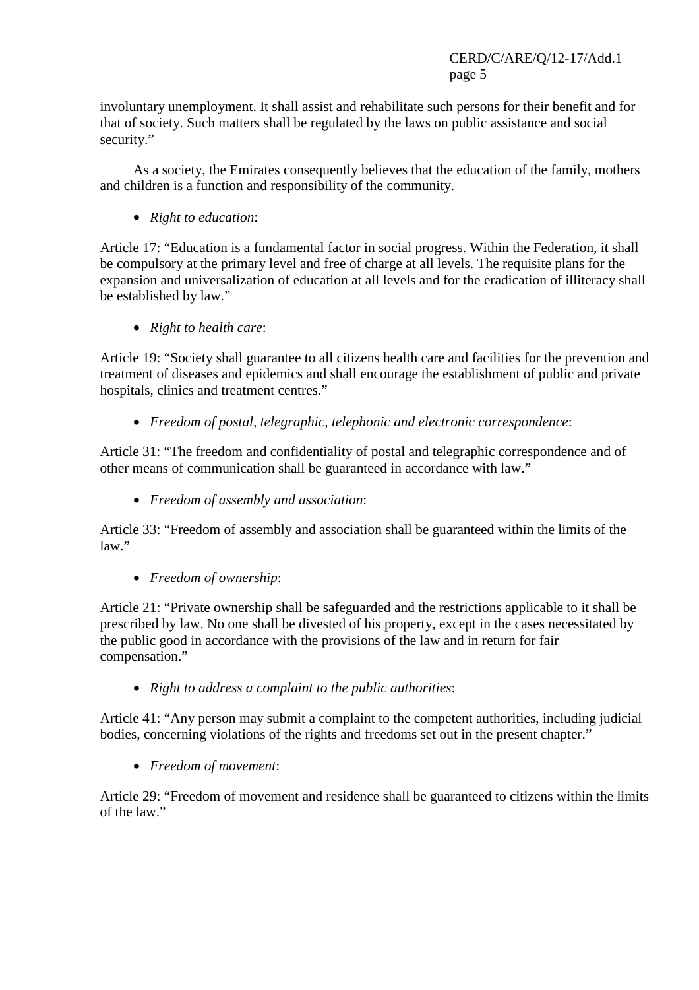involuntary unemployment. It shall assist and rehabilitate such persons for their benefit and for that of society. Such matters shall be regulated by the laws on public assistance and social security."

 As a society, the Emirates consequently believes that the education of the family, mothers and children is a function and responsibility of the community.

• *Right to education*:

Article 17: "Education is a fundamental factor in social progress. Within the Federation, it shall be compulsory at the primary level and free of charge at all levels. The requisite plans for the expansion and universalization of education at all levels and for the eradication of illiteracy shall be established by law."

• *Right to health care*:

Article 19: "Society shall guarantee to all citizens health care and facilities for the prevention and treatment of diseases and epidemics and shall encourage the establishment of public and private hospitals, clinics and treatment centres."

• *Freedom of postal, telegraphic, telephonic and electronic correspondence*:

Article 31: "The freedom and confidentiality of postal and telegraphic correspondence and of other means of communication shall be guaranteed in accordance with law."

• *Freedom of assembly and association*:

Article 33: "Freedom of assembly and association shall be guaranteed within the limits of the law."

• *Freedom of ownership*:

Article 21: "Private ownership shall be safeguarded and the restrictions applicable to it shall be prescribed by law. No one shall be divested of his property, except in the cases necessitated by the public good in accordance with the provisions of the law and in return for fair compensation."

• *Right to address a complaint to the public authorities*:

Article 41: "Any person may submit a complaint to the competent authorities, including judicial bodies, concerning violations of the rights and freedoms set out in the present chapter."

• *Freedom of movement*:

Article 29: "Freedom of movement and residence shall be guaranteed to citizens within the limits of the law."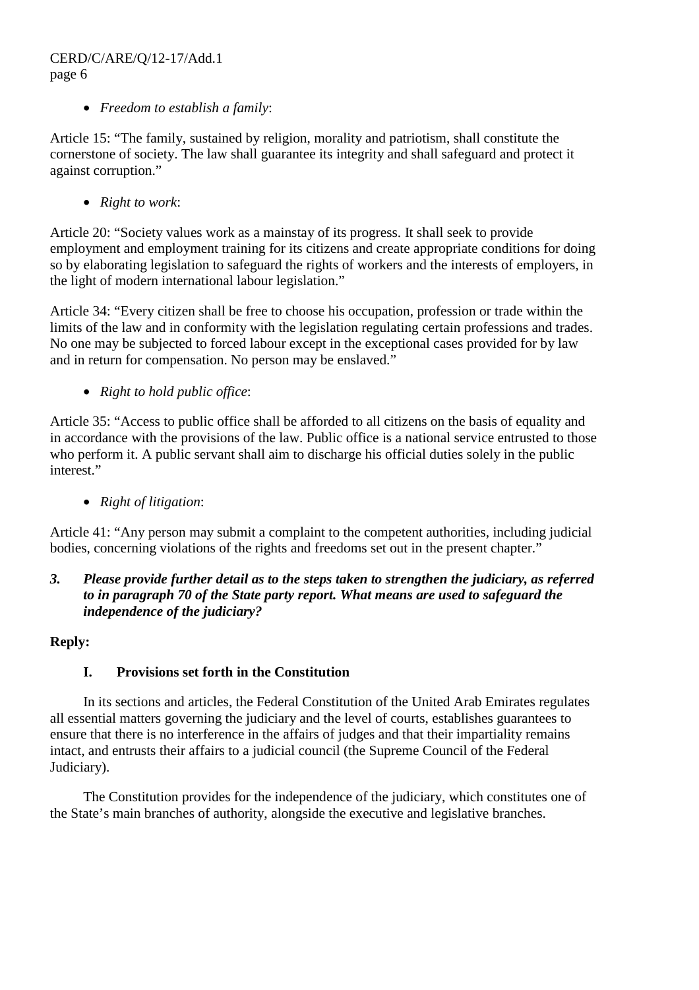• *Freedom to establish a family*:

Article 15: "The family, sustained by religion, morality and patriotism, shall constitute the cornerstone of society. The law shall guarantee its integrity and shall safeguard and protect it against corruption."

• *Right to work*:

Article 20: "Society values work as a mainstay of its progress. It shall seek to provide employment and employment training for its citizens and create appropriate conditions for doing so by elaborating legislation to safeguard the rights of workers and the interests of employers, in the light of modern international labour legislation."

Article 34: "Every citizen shall be free to choose his occupation, profession or trade within the limits of the law and in conformity with the legislation regulating certain professions and trades. No one may be subjected to forced labour except in the exceptional cases provided for by law and in return for compensation. No person may be enslaved."

• *Right to hold public office*:

Article 35: "Access to public office shall be afforded to all citizens on the basis of equality and in accordance with the provisions of the law. Public office is a national service entrusted to those who perform it. A public servant shall aim to discharge his official duties solely in the public interest."

• *Right of litigation*:

Article 41: "Any person may submit a complaint to the competent authorities, including judicial bodies, concerning violations of the rights and freedoms set out in the present chapter."

# *3. Please provide further detail as to the steps taken to strengthen the judiciary, as referred to in paragraph 70 of the State party report. What means are used to safeguard the independence of the judiciary?*

## **Reply:**

# **I. Provisions set forth in the Constitution**

 In its sections and articles, the Federal Constitution of the United Arab Emirates regulates all essential matters governing the judiciary and the level of courts, establishes guarantees to ensure that there is no interference in the affairs of judges and that their impartiality remains intact, and entrusts their affairs to a judicial council (the Supreme Council of the Federal Judiciary).

 The Constitution provides for the independence of the judiciary, which constitutes one of the State's main branches of authority, alongside the executive and legislative branches.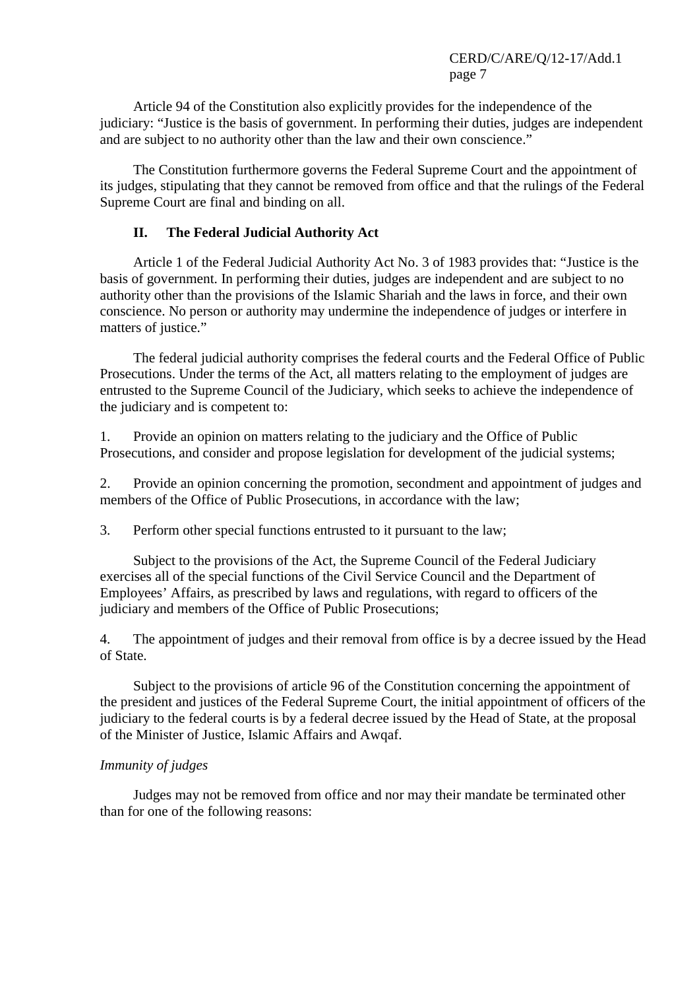Article 94 of the Constitution also explicitly provides for the independence of the judiciary: "Justice is the basis of government. In performing their duties, judges are independent and are subject to no authority other than the law and their own conscience."

 The Constitution furthermore governs the Federal Supreme Court and the appointment of its judges, stipulating that they cannot be removed from office and that the rulings of the Federal Supreme Court are final and binding on all.

#### **II. The Federal Judicial Authority Act**

 Article 1 of the Federal Judicial Authority Act No. 3 of 1983 provides that: "Justice is the basis of government. In performing their duties, judges are independent and are subject to no authority other than the provisions of the Islamic Shariah and the laws in force, and their own conscience. No person or authority may undermine the independence of judges or interfere in matters of justice."

 The federal judicial authority comprises the federal courts and the Federal Office of Public Prosecutions. Under the terms of the Act, all matters relating to the employment of judges are entrusted to the Supreme Council of the Judiciary, which seeks to achieve the independence of the judiciary and is competent to:

1. Provide an opinion on matters relating to the judiciary and the Office of Public Prosecutions, and consider and propose legislation for development of the judicial systems;

2. Provide an opinion concerning the promotion, secondment and appointment of judges and members of the Office of Public Prosecutions, in accordance with the law;

3. Perform other special functions entrusted to it pursuant to the law;

 Subject to the provisions of the Act, the Supreme Council of the Federal Judiciary exercises all of the special functions of the Civil Service Council and the Department of Employees' Affairs, as prescribed by laws and regulations, with regard to officers of the judiciary and members of the Office of Public Prosecutions;

4. The appointment of judges and their removal from office is by a decree issued by the Head of State.

 Subject to the provisions of article 96 of the Constitution concerning the appointment of the president and justices of the Federal Supreme Court, the initial appointment of officers of the judiciary to the federal courts is by a federal decree issued by the Head of State, at the proposal of the Minister of Justice, Islamic Affairs and Awqaf.

#### *Immunity of judges*

 Judges may not be removed from office and nor may their mandate be terminated other than for one of the following reasons: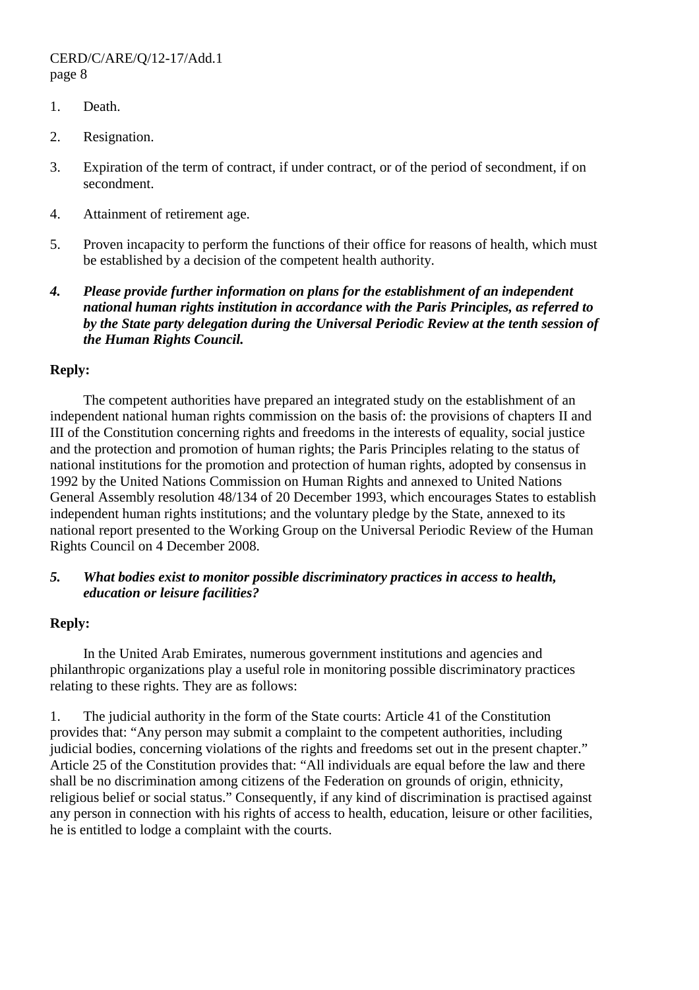- 1. Death.
- 2. Resignation.
- 3. Expiration of the term of contract, if under contract, or of the period of secondment, if on secondment.
- 4. Attainment of retirement age.
- 5. Proven incapacity to perform the functions of their office for reasons of health, which must be established by a decision of the competent health authority.
- *4. Please provide further information on plans for the establishment of an independent national human rights institution in accordance with the Paris Principles, as referred to by the State party delegation during the Universal Periodic Review at the tenth session of the Human Rights Council.*

#### **Reply:**

 The competent authorities have prepared an integrated study on the establishment of an independent national human rights commission on the basis of: the provisions of chapters II and III of the Constitution concerning rights and freedoms in the interests of equality, social justice and the protection and promotion of human rights; the Paris Principles relating to the status of national institutions for the promotion and protection of human rights, adopted by consensus in 1992 by the United Nations Commission on Human Rights and annexed to United Nations General Assembly resolution 48/134 of 20 December 1993, which encourages States to establish independent human rights institutions; and the voluntary pledge by the State, annexed to its national report presented to the Working Group on the Universal Periodic Review of the Human Rights Council on 4 December 2008.

#### *5. What bodies exist to monitor possible discriminatory practices in access to health, education or leisure facilities?*

#### **Reply:**

 In the United Arab Emirates, numerous government institutions and agencies and philanthropic organizations play a useful role in monitoring possible discriminatory practices relating to these rights. They are as follows:

1. The judicial authority in the form of the State courts: Article 41 of the Constitution provides that: "Any person may submit a complaint to the competent authorities, including judicial bodies, concerning violations of the rights and freedoms set out in the present chapter." Article 25 of the Constitution provides that: "All individuals are equal before the law and there shall be no discrimination among citizens of the Federation on grounds of origin, ethnicity, religious belief or social status." Consequently, if any kind of discrimination is practised against any person in connection with his rights of access to health, education, leisure or other facilities, he is entitled to lodge a complaint with the courts.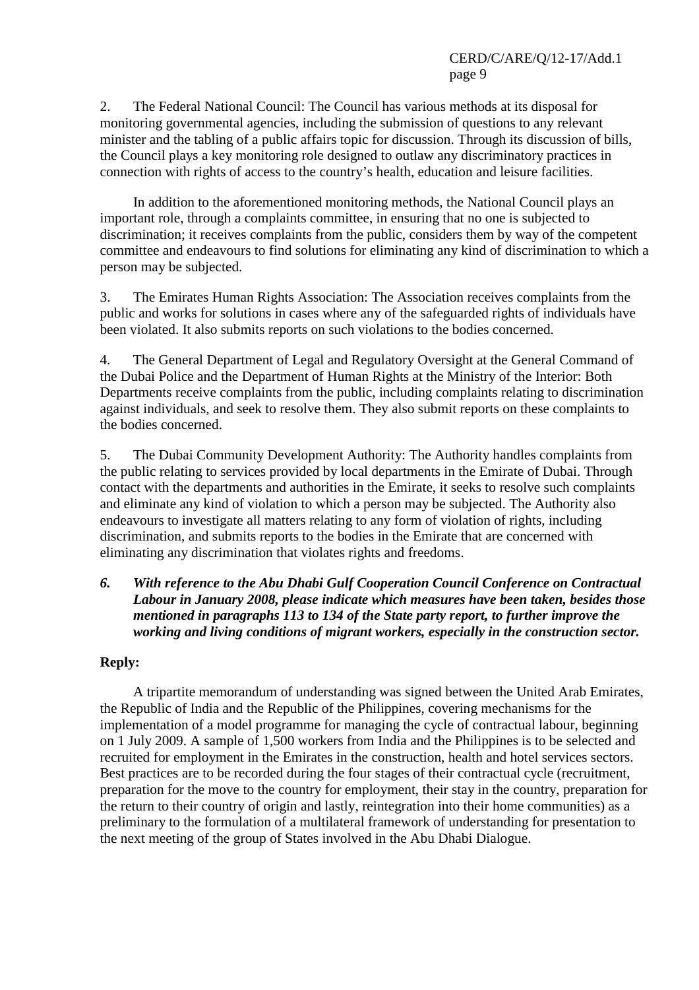2. The Federal National Council: The Council has various methods at its disposal for monitoring governmental agencies, including the submission of questions to any relevant minister and the tabling of a public affairs topic for discussion. Through its discussion of bills, the Council plays a key monitoring role designed to outlaw any discriminatory practices in connection with rights of access to the country's health, education and leisure facilities.

 In addition to the aforementioned monitoring methods, the National Council plays an important role, through a complaints committee, in ensuring that no one is subjected to discrimination; it receives complaints from the public, considers them by way of the competent committee and endeavours to find solutions for eliminating any kind of discrimination to which a person may be subjected.

3. The Emirates Human Rights Association: The Association receives complaints from the public and works for solutions in cases where any of the safeguarded rights of individuals have been violated. It also submits reports on such violations to the bodies concerned.

4. The General Department of Legal and Regulatory Oversight at the General Command of the Dubai Police and the Department of Human Rights at the Ministry of the Interior: Both Departments receive complaints from the public, including complaints relating to discrimination against individuals, and seek to resolve them. They also submit reports on these complaints to the bodies concerned.

5. The Dubai Community Development Authority: The Authority handles complaints from the public relating to services provided by local departments in the Emirate of Dubai. Through contact with the departments and authorities in the Emirate, it seeks to resolve such complaints and eliminate any kind of violation to which a person may be subjected. The Authority also endeavours to investigate all matters relating to any form of violation of rights, including discrimination, and submits reports to the bodies in the Emirate that are concerned with eliminating any discrimination that violates rights and freedoms.

#### *6. With reference to the Abu Dhabi Gulf Cooperation Council Conference on Contractual Labour in January 2008, please indicate which measures have been taken, besides those mentioned in paragraphs 113 to 134 of the State party report, to further improve the working and living conditions of migrant workers, especially in the construction sector.*

## **Reply:**

 A tripartite memorandum of understanding was signed between the United Arab Emirates, the Republic of India and the Republic of the Philippines, covering mechanisms for the implementation of a model programme for managing the cycle of contractual labour, beginning on 1 July 2009. A sample of 1,500 workers from India and the Philippines is to be selected and recruited for employment in the Emirates in the construction, health and hotel services sectors. Best practices are to be recorded during the four stages of their contractual cycle (recruitment, preparation for the move to the country for employment, their stay in the country, preparation for the return to their country of origin and lastly, reintegration into their home communities) as a preliminary to the formulation of a multilateral framework of understanding for presentation to the next meeting of the group of States involved in the Abu Dhabi Dialogue.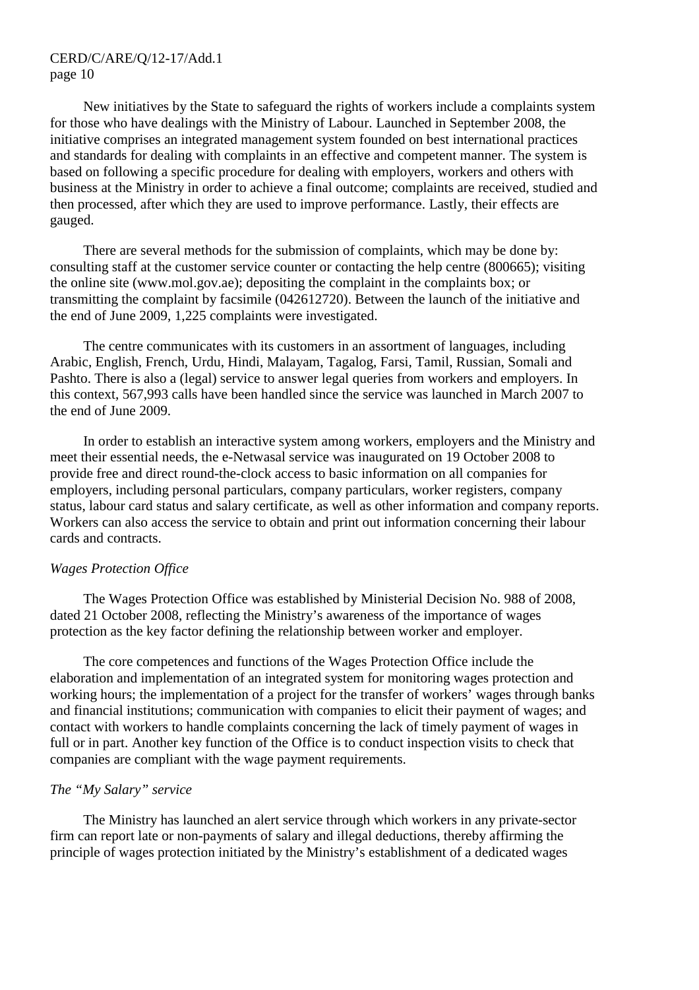New initiatives by the State to safeguard the rights of workers include a complaints system for those who have dealings with the Ministry of Labour. Launched in September 2008, the initiative comprises an integrated management system founded on best international practices and standards for dealing with complaints in an effective and competent manner. The system is based on following a specific procedure for dealing with employers, workers and others with business at the Ministry in order to achieve a final outcome; complaints are received, studied and then processed, after which they are used to improve performance. Lastly, their effects are gauged.

 There are several methods for the submission of complaints, which may be done by: consulting staff at the customer service counter or contacting the help centre (800665); visiting the online site (www.mol.gov.ae); depositing the complaint in the complaints box; or transmitting the complaint by facsimile (042612720). Between the launch of the initiative and the end of June 2009, 1,225 complaints were investigated.

 The centre communicates with its customers in an assortment of languages, including Arabic, English, French, Urdu, Hindi, Malayam, Tagalog, Farsi, Tamil, Russian, Somali and Pashto. There is also a (legal) service to answer legal queries from workers and employers. In this context, 567,993 calls have been handled since the service was launched in March 2007 to the end of June 2009.

 In order to establish an interactive system among workers, employers and the Ministry and meet their essential needs, the e-Netwasal service was inaugurated on 19 October 2008 to provide free and direct round-the-clock access to basic information on all companies for employers, including personal particulars, company particulars, worker registers, company status, labour card status and salary certificate, as well as other information and company reports. Workers can also access the service to obtain and print out information concerning their labour cards and contracts.

#### *Wages Protection Office*

 The Wages Protection Office was established by Ministerial Decision No. 988 of 2008, dated 21 October 2008, reflecting the Ministry's awareness of the importance of wages protection as the key factor defining the relationship between worker and employer.

 The core competences and functions of the Wages Protection Office include the elaboration and implementation of an integrated system for monitoring wages protection and working hours; the implementation of a project for the transfer of workers' wages through banks and financial institutions; communication with companies to elicit their payment of wages; and contact with workers to handle complaints concerning the lack of timely payment of wages in full or in part. Another key function of the Office is to conduct inspection visits to check that companies are compliant with the wage payment requirements.

#### *The "My Salary" service*

 The Ministry has launched an alert service through which workers in any private-sector firm can report late or non-payments of salary and illegal deductions, thereby affirming the principle of wages protection initiated by the Ministry's establishment of a dedicated wages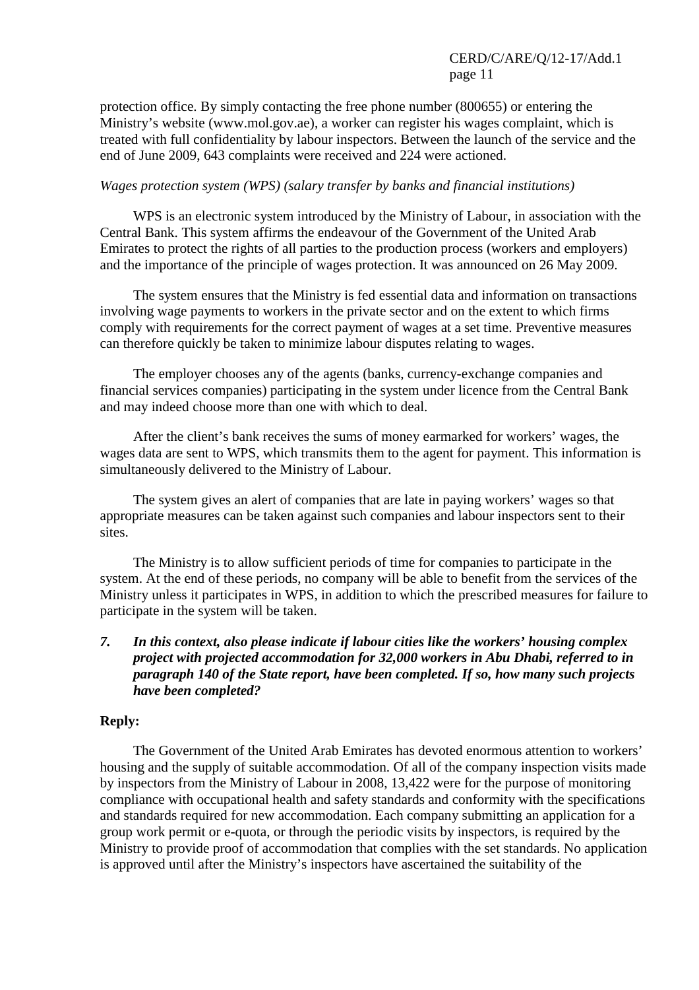protection office. By simply contacting the free phone number (800655) or entering the Ministry's website (www.mol.gov.ae), a worker can register his wages complaint, which is treated with full confidentiality by labour inspectors. Between the launch of the service and the end of June 2009, 643 complaints were received and 224 were actioned.

#### *Wages protection system (WPS) (salary transfer by banks and financial institutions)*

 WPS is an electronic system introduced by the Ministry of Labour, in association with the Central Bank. This system affirms the endeavour of the Government of the United Arab Emirates to protect the rights of all parties to the production process (workers and employers) and the importance of the principle of wages protection. It was announced on 26 May 2009.

 The system ensures that the Ministry is fed essential data and information on transactions involving wage payments to workers in the private sector and on the extent to which firms comply with requirements for the correct payment of wages at a set time. Preventive measures can therefore quickly be taken to minimize labour disputes relating to wages.

 The employer chooses any of the agents (banks, currency-exchange companies and financial services companies) participating in the system under licence from the Central Bank and may indeed choose more than one with which to deal.

 After the client's bank receives the sums of money earmarked for workers' wages, the wages data are sent to WPS, which transmits them to the agent for payment. This information is simultaneously delivered to the Ministry of Labour.

 The system gives an alert of companies that are late in paying workers' wages so that appropriate measures can be taken against such companies and labour inspectors sent to their sites.

 The Ministry is to allow sufficient periods of time for companies to participate in the system. At the end of these periods, no company will be able to benefit from the services of the Ministry unless it participates in WPS, in addition to which the prescribed measures for failure to participate in the system will be taken.

## *7. In this context, also please indicate if labour cities like the workers' housing complex project with projected accommodation for 32,000 workers in Abu Dhabi, referred to in paragraph 140 of the State report, have been completed. If so, how many such projects have been completed?*

## **Reply:**

 The Government of the United Arab Emirates has devoted enormous attention to workers' housing and the supply of suitable accommodation. Of all of the company inspection visits made by inspectors from the Ministry of Labour in 2008, 13,422 were for the purpose of monitoring compliance with occupational health and safety standards and conformity with the specifications and standards required for new accommodation. Each company submitting an application for a group work permit or e-quota, or through the periodic visits by inspectors, is required by the Ministry to provide proof of accommodation that complies with the set standards. No application is approved until after the Ministry's inspectors have ascertained the suitability of the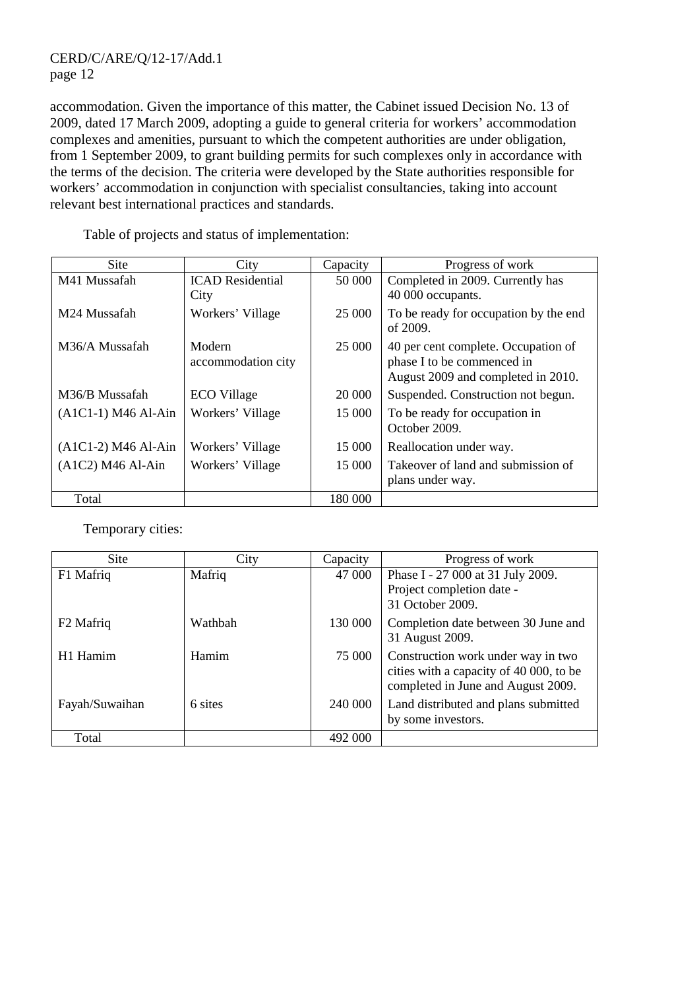accommodation. Given the importance of this matter, the Cabinet issued Decision No. 13 of 2009, dated 17 March 2009, adopting a guide to general criteria for workers' accommodation complexes and amenities, pursuant to which the competent authorities are under obligation, from 1 September 2009, to grant building permits for such complexes only in accordance with the terms of the decision. The criteria were developed by the State authorities responsible for workers' accommodation in conjunction with specialist consultancies, taking into account relevant best international practices and standards.

| <b>Site</b>           | City                         | Capacity | Progress of work                                                                                        |
|-----------------------|------------------------------|----------|---------------------------------------------------------------------------------------------------------|
| M41 Mussafah          | <b>ICAD</b> Residential      | 50 000   | Completed in 2009. Currently has                                                                        |
|                       | City                         |          | 40 000 occupants.                                                                                       |
| M24 Mussafah          | Workers' Village             | 25 000   | To be ready for occupation by the end<br>of 2009.                                                       |
| M36/A Mussafah        | Modern<br>accommodation city | 25 000   | 40 per cent complete. Occupation of<br>phase I to be commenced in<br>August 2009 and completed in 2010. |
| M36/B Mussafah        | <b>ECO</b> Village           | 20 000   | Suspended. Construction not begun.                                                                      |
| $(A1C1-1) M46 Al-Ain$ | Workers' Village             | 15 000   | To be ready for occupation in<br>October 2009.                                                          |
| $(A1C1-2) M46 Al-Ain$ | Workers' Village             | 15 000   | Reallocation under way.                                                                                 |
| $(A1C2) M46 Al-Ain$   | Workers' Village             | 15 000   | Takeover of land and submission of<br>plans under way.                                                  |
| Total                 |                              | 180 000  |                                                                                                         |

Table of projects and status of implementation:

Temporary cities:

| <b>Site</b>           | City    | Capacity | Progress of work                                                                                                    |
|-----------------------|---------|----------|---------------------------------------------------------------------------------------------------------------------|
| F1 Mafriq             | Mafriq  | 47 000   | Phase I - 27 000 at 31 July 2009.<br>Project completion date -<br>31 October 2009.                                  |
| F <sub>2</sub> Mafriq | Wathbah | 130 000  | Completion date between 30 June and<br>31 August 2009.                                                              |
| H1 Hamim              | Hamim   | 75 000   | Construction work under way in two<br>cities with a capacity of 40 000, to be<br>completed in June and August 2009. |
| Fayah/Suwaihan        | 6 sites | 240 000  | Land distributed and plans submitted<br>by some investors.                                                          |
| Total                 |         | 492 000  |                                                                                                                     |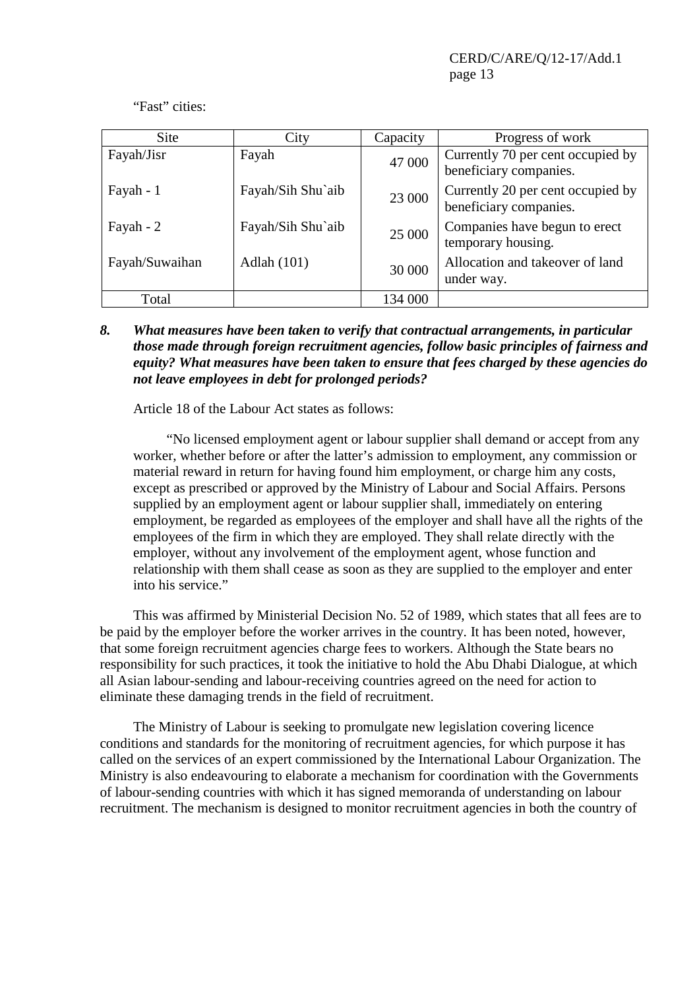"Fast" cities:

| Site           | City               | Capacity | Progress of work                                            |
|----------------|--------------------|----------|-------------------------------------------------------------|
| Fayah/Jisr     | Fayah              | 47 000   | Currently 70 per cent occupied by<br>beneficiary companies. |
| Fayah - 1      | Fayah/Sih Shu`aib  | 23 000   | Currently 20 per cent occupied by<br>beneficiary companies. |
| Fayah - 2      | Fayah/Sih Shu`aib  | 25 000   | Companies have begun to erect<br>temporary housing.         |
| Fayah/Suwaihan | <b>Adlah</b> (101) | 30 000   | Allocation and takeover of land<br>under way.               |
| Total          |                    | 134 000  |                                                             |

*8. What measures have been taken to verify that contractual arrangements, in particular those made through foreign recruitment agencies, follow basic principles of fairness and equity? What measures have been taken to ensure that fees charged by these agencies do not leave employees in debt for prolonged periods?* 

Article 18 of the Labour Act states as follows:

 "No licensed employment agent or labour supplier shall demand or accept from any worker, whether before or after the latter's admission to employment, any commission or material reward in return for having found him employment, or charge him any costs, except as prescribed or approved by the Ministry of Labour and Social Affairs. Persons supplied by an employment agent or labour supplier shall, immediately on entering employment, be regarded as employees of the employer and shall have all the rights of the employees of the firm in which they are employed. They shall relate directly with the employer, without any involvement of the employment agent, whose function and relationship with them shall cease as soon as they are supplied to the employer and enter into his service."

 This was affirmed by Ministerial Decision No. 52 of 1989, which states that all fees are to be paid by the employer before the worker arrives in the country. It has been noted, however, that some foreign recruitment agencies charge fees to workers. Although the State bears no responsibility for such practices, it took the initiative to hold the Abu Dhabi Dialogue, at which all Asian labour-sending and labour-receiving countries agreed on the need for action to eliminate these damaging trends in the field of recruitment.

 The Ministry of Labour is seeking to promulgate new legislation covering licence conditions and standards for the monitoring of recruitment agencies, for which purpose it has called on the services of an expert commissioned by the International Labour Organization. The Ministry is also endeavouring to elaborate a mechanism for coordination with the Governments of labour-sending countries with which it has signed memoranda of understanding on labour recruitment. The mechanism is designed to monitor recruitment agencies in both the country of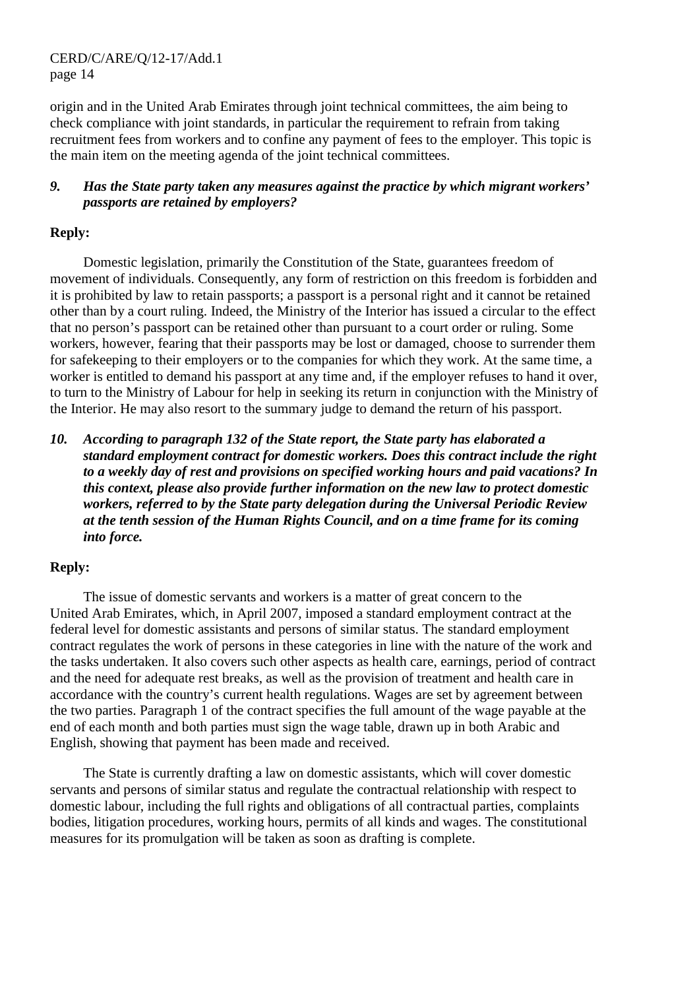origin and in the United Arab Emirates through joint technical committees, the aim being to check compliance with joint standards, in particular the requirement to refrain from taking recruitment fees from workers and to confine any payment of fees to the employer. This topic is the main item on the meeting agenda of the joint technical committees.

## *9. Has the State party taken any measures against the practice by which migrant workers' passports are retained by employers?*

#### **Reply:**

 Domestic legislation, primarily the Constitution of the State, guarantees freedom of movement of individuals. Consequently, any form of restriction on this freedom is forbidden and it is prohibited by law to retain passports; a passport is a personal right and it cannot be retained other than by a court ruling. Indeed, the Ministry of the Interior has issued a circular to the effect that no person's passport can be retained other than pursuant to a court order or ruling. Some workers, however, fearing that their passports may be lost or damaged, choose to surrender them for safekeeping to their employers or to the companies for which they work. At the same time, a worker is entitled to demand his passport at any time and, if the employer refuses to hand it over, to turn to the Ministry of Labour for help in seeking its return in conjunction with the Ministry of the Interior. He may also resort to the summary judge to demand the return of his passport.

*10. According to paragraph 132 of the State report, the State party has elaborated a standard employment contract for domestic workers. Does this contract include the right to a weekly day of rest and provisions on specified working hours and paid vacations? In this context, please also provide further information on the new law to protect domestic workers, referred to by the State party delegation during the Universal Periodic Review at the tenth session of the Human Rights Council, and on a time frame for its coming into force.* 

#### **Reply:**

 The issue of domestic servants and workers is a matter of great concern to the United Arab Emirates, which, in April 2007, imposed a standard employment contract at the federal level for domestic assistants and persons of similar status. The standard employment contract regulates the work of persons in these categories in line with the nature of the work and the tasks undertaken. It also covers such other aspects as health care, earnings, period of contract and the need for adequate rest breaks, as well as the provision of treatment and health care in accordance with the country's current health regulations. Wages are set by agreement between the two parties. Paragraph 1 of the contract specifies the full amount of the wage payable at the end of each month and both parties must sign the wage table, drawn up in both Arabic and English, showing that payment has been made and received.

 The State is currently drafting a law on domestic assistants, which will cover domestic servants and persons of similar status and regulate the contractual relationship with respect to domestic labour, including the full rights and obligations of all contractual parties, complaints bodies, litigation procedures, working hours, permits of all kinds and wages. The constitutional measures for its promulgation will be taken as soon as drafting is complete.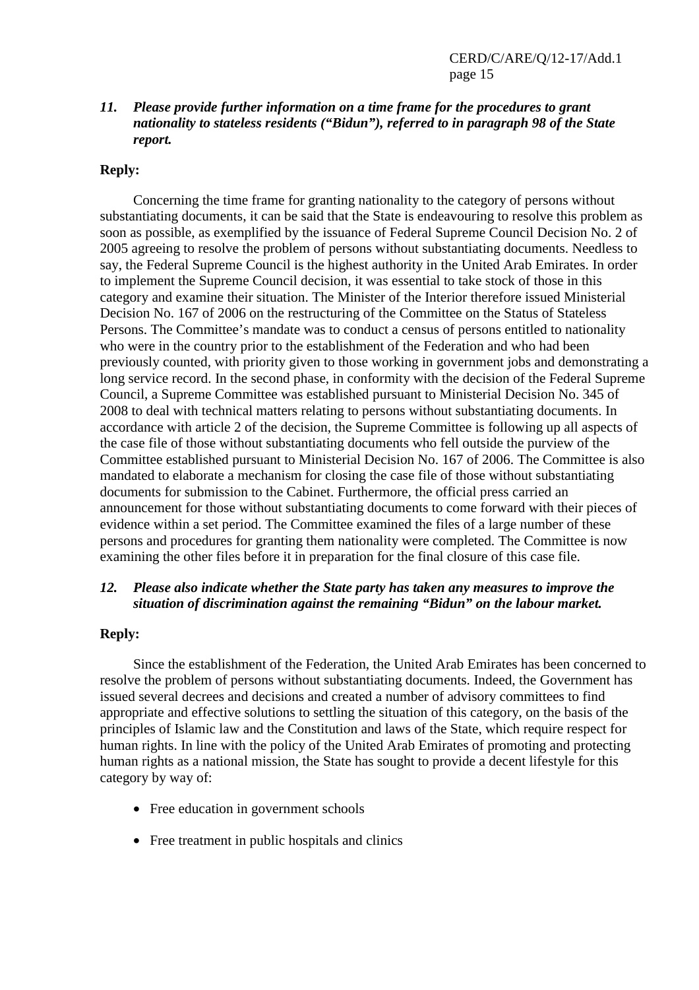#### *11. Please provide further information on a time frame for the procedures to grant nationality to stateless residents ("Bidun"), referred to in paragraph 98 of the State report.*

#### **Reply:**

 Concerning the time frame for granting nationality to the category of persons without substantiating documents, it can be said that the State is endeavouring to resolve this problem as soon as possible, as exemplified by the issuance of Federal Supreme Council Decision No. 2 of 2005 agreeing to resolve the problem of persons without substantiating documents. Needless to say, the Federal Supreme Council is the highest authority in the United Arab Emirates. In order to implement the Supreme Council decision, it was essential to take stock of those in this category and examine their situation. The Minister of the Interior therefore issued Ministerial Decision No. 167 of 2006 on the restructuring of the Committee on the Status of Stateless Persons. The Committee's mandate was to conduct a census of persons entitled to nationality who were in the country prior to the establishment of the Federation and who had been previously counted, with priority given to those working in government jobs and demonstrating a long service record. In the second phase, in conformity with the decision of the Federal Supreme Council, a Supreme Committee was established pursuant to Ministerial Decision No. 345 of 2008 to deal with technical matters relating to persons without substantiating documents. In accordance with article 2 of the decision, the Supreme Committee is following up all aspects of the case file of those without substantiating documents who fell outside the purview of the Committee established pursuant to Ministerial Decision No. 167 of 2006. The Committee is also mandated to elaborate a mechanism for closing the case file of those without substantiating documents for submission to the Cabinet. Furthermore, the official press carried an announcement for those without substantiating documents to come forward with their pieces of evidence within a set period. The Committee examined the files of a large number of these persons and procedures for granting them nationality were completed. The Committee is now examining the other files before it in preparation for the final closure of this case file.

#### *12. Please also indicate whether the State party has taken any measures to improve the situation of discrimination against the remaining "Bidun" on the labour market.*

#### **Reply:**

 Since the establishment of the Federation, the United Arab Emirates has been concerned to resolve the problem of persons without substantiating documents. Indeed, the Government has issued several decrees and decisions and created a number of advisory committees to find appropriate and effective solutions to settling the situation of this category, on the basis of the principles of Islamic law and the Constitution and laws of the State, which require respect for human rights. In line with the policy of the United Arab Emirates of promoting and protecting human rights as a national mission, the State has sought to provide a decent lifestyle for this category by way of:

- Free education in government schools
- Free treatment in public hospitals and clinics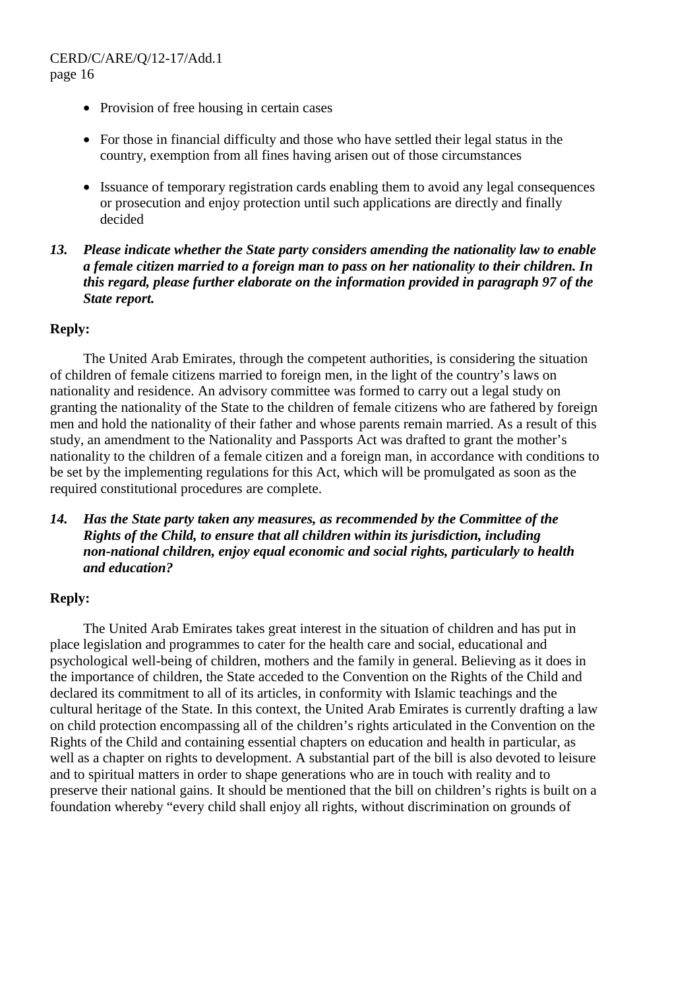- Provision of free housing in certain cases
- For those in financial difficulty and those who have settled their legal status in the country, exemption from all fines having arisen out of those circumstances
- Issuance of temporary registration cards enabling them to avoid any legal consequences or prosecution and enjoy protection until such applications are directly and finally decided
- *13. Please indicate whether the State party considers amending the nationality law to enable a female citizen married to a foreign man to pass on her nationality to their children. In this regard, please further elaborate on the information provided in paragraph 97 of the State report.*

#### **Reply:**

 The United Arab Emirates, through the competent authorities, is considering the situation of children of female citizens married to foreign men, in the light of the country's laws on nationality and residence. An advisory committee was formed to carry out a legal study on granting the nationality of the State to the children of female citizens who are fathered by foreign men and hold the nationality of their father and whose parents remain married. As a result of this study, an amendment to the Nationality and Passports Act was drafted to grant the mother's nationality to the children of a female citizen and a foreign man, in accordance with conditions to be set by the implementing regulations for this Act, which will be promulgated as soon as the required constitutional procedures are complete.

*14. Has the State party taken any measures, as recommended by the Committee of the Rights of the Child, to ensure that all children within its jurisdiction, including non-national children, enjoy equal economic and social rights, particularly to health and education?* 

## **Reply:**

 The United Arab Emirates takes great interest in the situation of children and has put in place legislation and programmes to cater for the health care and social, educational and psychological well-being of children, mothers and the family in general. Believing as it does in the importance of children, the State acceded to the Convention on the Rights of the Child and declared its commitment to all of its articles, in conformity with Islamic teachings and the cultural heritage of the State. In this context, the United Arab Emirates is currently drafting a law on child protection encompassing all of the children's rights articulated in the Convention on the Rights of the Child and containing essential chapters on education and health in particular, as well as a chapter on rights to development. A substantial part of the bill is also devoted to leisure and to spiritual matters in order to shape generations who are in touch with reality and to preserve their national gains. It should be mentioned that the bill on children's rights is built on a foundation whereby "every child shall enjoy all rights, without discrimination on grounds of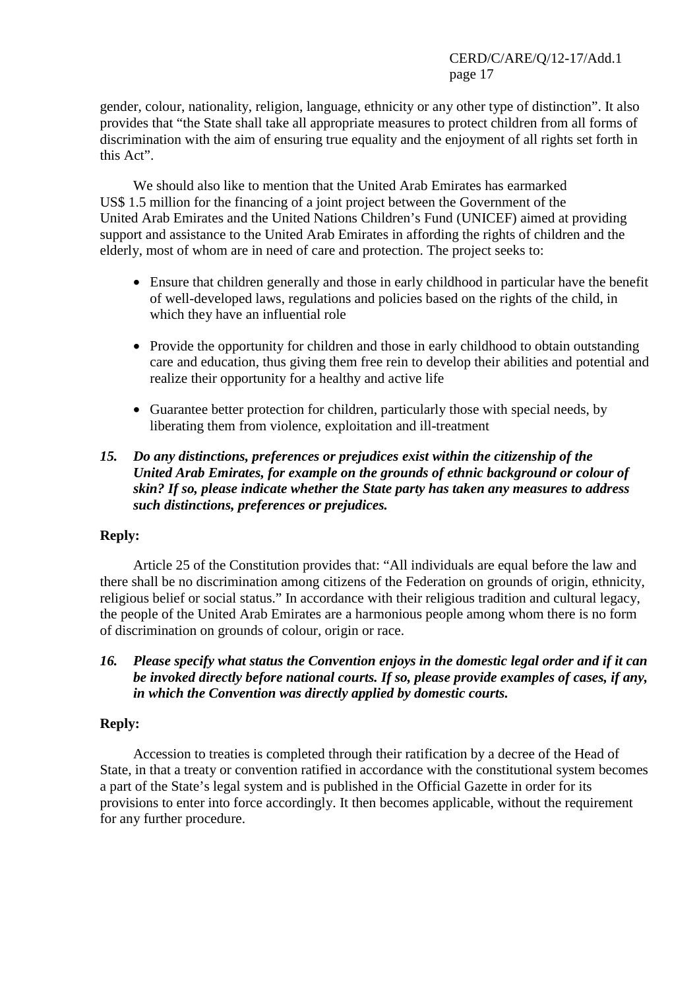gender, colour, nationality, religion, language, ethnicity or any other type of distinction". It also provides that "the State shall take all appropriate measures to protect children from all forms of discrimination with the aim of ensuring true equality and the enjoyment of all rights set forth in this Act".

 We should also like to mention that the United Arab Emirates has earmarked US\$ 1.5 million for the financing of a joint project between the Government of the United Arab Emirates and the United Nations Children's Fund (UNICEF) aimed at providing support and assistance to the United Arab Emirates in affording the rights of children and the elderly, most of whom are in need of care and protection. The project seeks to:

- Ensure that children generally and those in early childhood in particular have the benefit of well-developed laws, regulations and policies based on the rights of the child, in which they have an influential role
- Provide the opportunity for children and those in early childhood to obtain outstanding care and education, thus giving them free rein to develop their abilities and potential and realize their opportunity for a healthy and active life
- Guarantee better protection for children, particularly those with special needs, by liberating them from violence, exploitation and ill-treatment

## *15. Do any distinctions, preferences or prejudices exist within the citizenship of the United Arab Emirates, for example on the grounds of ethnic background or colour of skin? If so, please indicate whether the State party has taken any measures to address such distinctions, preferences or prejudices.*

## **Reply:**

 Article 25 of the Constitution provides that: "All individuals are equal before the law and there shall be no discrimination among citizens of the Federation on grounds of origin, ethnicity, religious belief or social status." In accordance with their religious tradition and cultural legacy, the people of the United Arab Emirates are a harmonious people among whom there is no form of discrimination on grounds of colour, origin or race.

*16. Please specify what status the Convention enjoys in the domestic legal order and if it can be invoked directly before national courts. If so, please provide examples of cases, if any, in which the Convention was directly applied by domestic courts.* 

## **Reply:**

 Accession to treaties is completed through their ratification by a decree of the Head of State, in that a treaty or convention ratified in accordance with the constitutional system becomes a part of the State's legal system and is published in the Official Gazette in order for its provisions to enter into force accordingly. It then becomes applicable, without the requirement for any further procedure.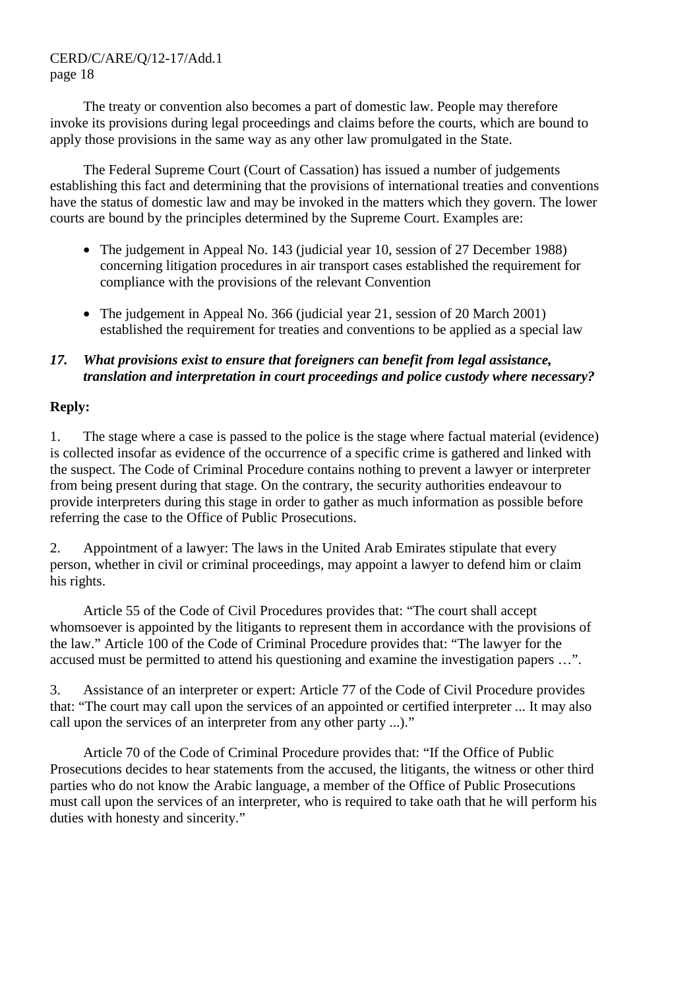The treaty or convention also becomes a part of domestic law. People may therefore invoke its provisions during legal proceedings and claims before the courts, which are bound to apply those provisions in the same way as any other law promulgated in the State.

 The Federal Supreme Court (Court of Cassation) has issued a number of judgements establishing this fact and determining that the provisions of international treaties and conventions have the status of domestic law and may be invoked in the matters which they govern. The lower courts are bound by the principles determined by the Supreme Court. Examples are:

- The judgement in Appeal No. 143 (judicial year 10, session of 27 December 1988) concerning litigation procedures in air transport cases established the requirement for compliance with the provisions of the relevant Convention
- The judgement in Appeal No. 366 (judicial year 21, session of 20 March 2001) established the requirement for treaties and conventions to be applied as a special law

# *17. What provisions exist to ensure that foreigners can benefit from legal assistance, translation and interpretation in court proceedings and police custody where necessary?*

# **Reply:**

1. The stage where a case is passed to the police is the stage where factual material (evidence) is collected insofar as evidence of the occurrence of a specific crime is gathered and linked with the suspect. The Code of Criminal Procedure contains nothing to prevent a lawyer or interpreter from being present during that stage. On the contrary, the security authorities endeavour to provide interpreters during this stage in order to gather as much information as possible before referring the case to the Office of Public Prosecutions.

2. Appointment of a lawyer: The laws in the United Arab Emirates stipulate that every person, whether in civil or criminal proceedings, may appoint a lawyer to defend him or claim his rights.

 Article 55 of the Code of Civil Procedures provides that: "The court shall accept whomsoever is appointed by the litigants to represent them in accordance with the provisions of the law." Article 100 of the Code of Criminal Procedure provides that: "The lawyer for the accused must be permitted to attend his questioning and examine the investigation papers …".

3. Assistance of an interpreter or expert: Article 77 of the Code of Civil Procedure provides that: "The court may call upon the services of an appointed or certified interpreter ... It may also call upon the services of an interpreter from any other party ...)."

 Article 70 of the Code of Criminal Procedure provides that: "If the Office of Public Prosecutions decides to hear statements from the accused, the litigants, the witness or other third parties who do not know the Arabic language, a member of the Office of Public Prosecutions must call upon the services of an interpreter, who is required to take oath that he will perform his duties with honesty and sincerity."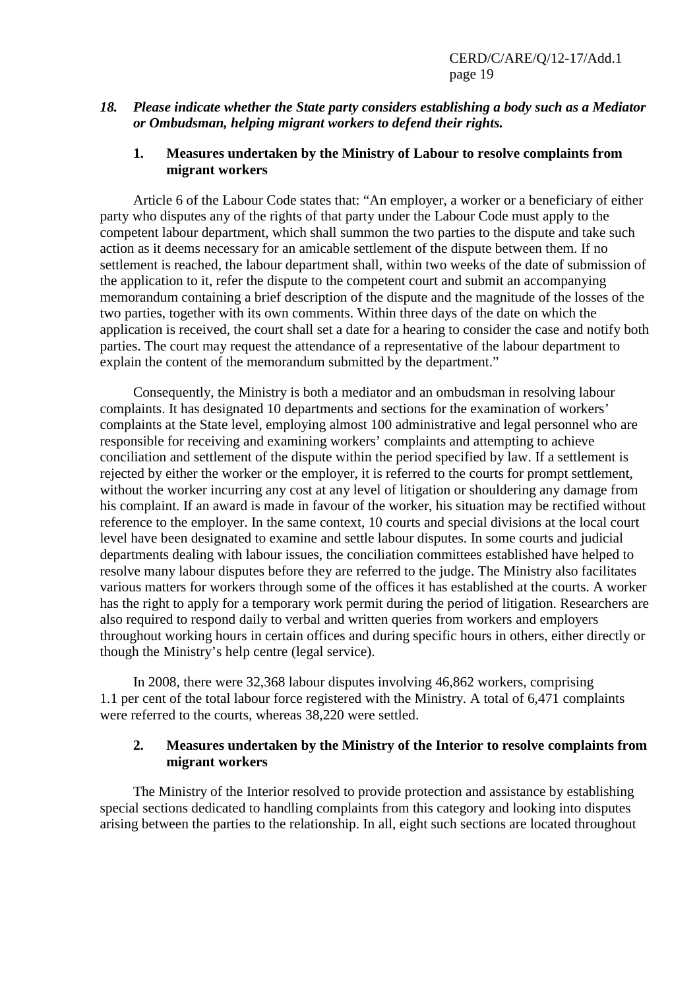#### *18. Please indicate whether the State party considers establishing a body such as a Mediator or Ombudsman, helping migrant workers to defend their rights.*

#### **1. Measures undertaken by the Ministry of Labour to resolve complaints from migrant workers**

 Article 6 of the Labour Code states that: "An employer, a worker or a beneficiary of either party who disputes any of the rights of that party under the Labour Code must apply to the competent labour department, which shall summon the two parties to the dispute and take such action as it deems necessary for an amicable settlement of the dispute between them. If no settlement is reached, the labour department shall, within two weeks of the date of submission of the application to it, refer the dispute to the competent court and submit an accompanying memorandum containing a brief description of the dispute and the magnitude of the losses of the two parties, together with its own comments. Within three days of the date on which the application is received, the court shall set a date for a hearing to consider the case and notify both parties. The court may request the attendance of a representative of the labour department to explain the content of the memorandum submitted by the department."

 Consequently, the Ministry is both a mediator and an ombudsman in resolving labour complaints. It has designated 10 departments and sections for the examination of workers' complaints at the State level, employing almost 100 administrative and legal personnel who are responsible for receiving and examining workers' complaints and attempting to achieve conciliation and settlement of the dispute within the period specified by law. If a settlement is rejected by either the worker or the employer, it is referred to the courts for prompt settlement, without the worker incurring any cost at any level of litigation or shouldering any damage from his complaint. If an award is made in favour of the worker, his situation may be rectified without reference to the employer. In the same context, 10 courts and special divisions at the local court level have been designated to examine and settle labour disputes. In some courts and judicial departments dealing with labour issues, the conciliation committees established have helped to resolve many labour disputes before they are referred to the judge. The Ministry also facilitates various matters for workers through some of the offices it has established at the courts. A worker has the right to apply for a temporary work permit during the period of litigation. Researchers are also required to respond daily to verbal and written queries from workers and employers throughout working hours in certain offices and during specific hours in others, either directly or though the Ministry's help centre (legal service).

 In 2008, there were 32,368 labour disputes involving 46,862 workers, comprising 1.1 per cent of the total labour force registered with the Ministry. A total of 6,471 complaints were referred to the courts, whereas 38,220 were settled.

#### **2. Measures undertaken by the Ministry of the Interior to resolve complaints from migrant workers**

 The Ministry of the Interior resolved to provide protection and assistance by establishing special sections dedicated to handling complaints from this category and looking into disputes arising between the parties to the relationship. In all, eight such sections are located throughout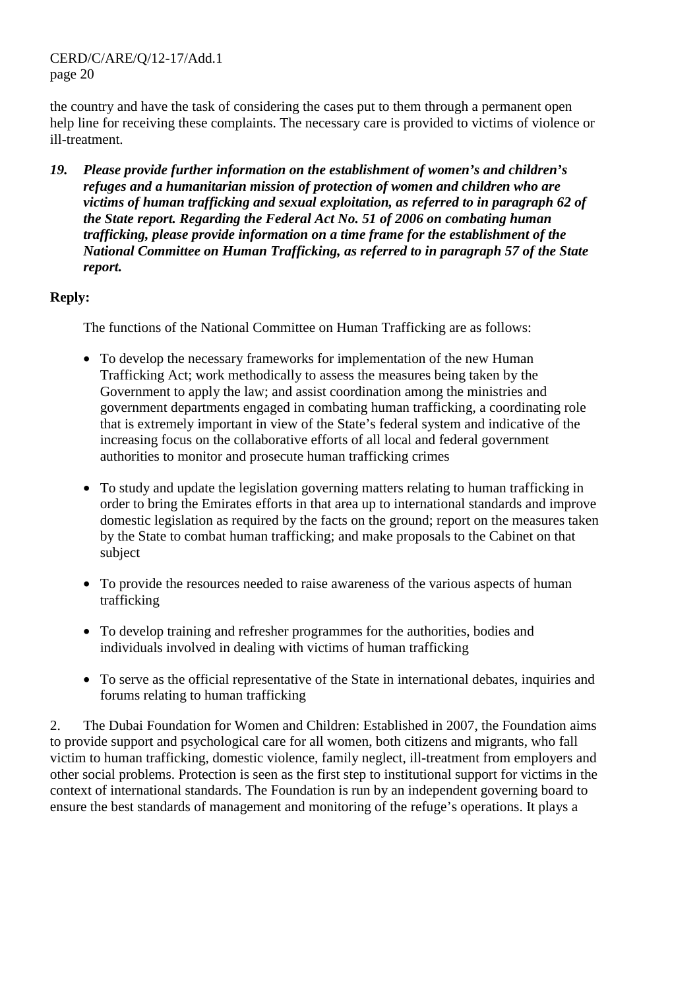the country and have the task of considering the cases put to them through a permanent open help line for receiving these complaints. The necessary care is provided to victims of violence or ill-treatment.

*19. Please provide further information on the establishment of women's and children's refuges and a humanitarian mission of protection of women and children who are victims of human trafficking and sexual exploitation, as referred to in paragraph 62 of the State report. Regarding the Federal Act No. 51 of 2006 on combating human trafficking, please provide information on a time frame for the establishment of the National Committee on Human Trafficking, as referred to in paragraph 57 of the State report.* 

## **Reply:**

The functions of the National Committee on Human Trafficking are as follows:

- To develop the necessary frameworks for implementation of the new Human Trafficking Act; work methodically to assess the measures being taken by the Government to apply the law; and assist coordination among the ministries and government departments engaged in combating human trafficking, a coordinating role that is extremely important in view of the State's federal system and indicative of the increasing focus on the collaborative efforts of all local and federal government authorities to monitor and prosecute human trafficking crimes
- To study and update the legislation governing matters relating to human trafficking in order to bring the Emirates efforts in that area up to international standards and improve domestic legislation as required by the facts on the ground; report on the measures taken by the State to combat human trafficking; and make proposals to the Cabinet on that subject
- To provide the resources needed to raise awareness of the various aspects of human trafficking
- To develop training and refresher programmes for the authorities, bodies and individuals involved in dealing with victims of human trafficking
- To serve as the official representative of the State in international debates, inquiries and forums relating to human trafficking

2. The Dubai Foundation for Women and Children: Established in 2007, the Foundation aims to provide support and psychological care for all women, both citizens and migrants, who fall victim to human trafficking, domestic violence, family neglect, ill-treatment from employers and other social problems. Protection is seen as the first step to institutional support for victims in the context of international standards. The Foundation is run by an independent governing board to ensure the best standards of management and monitoring of the refuge's operations. It plays a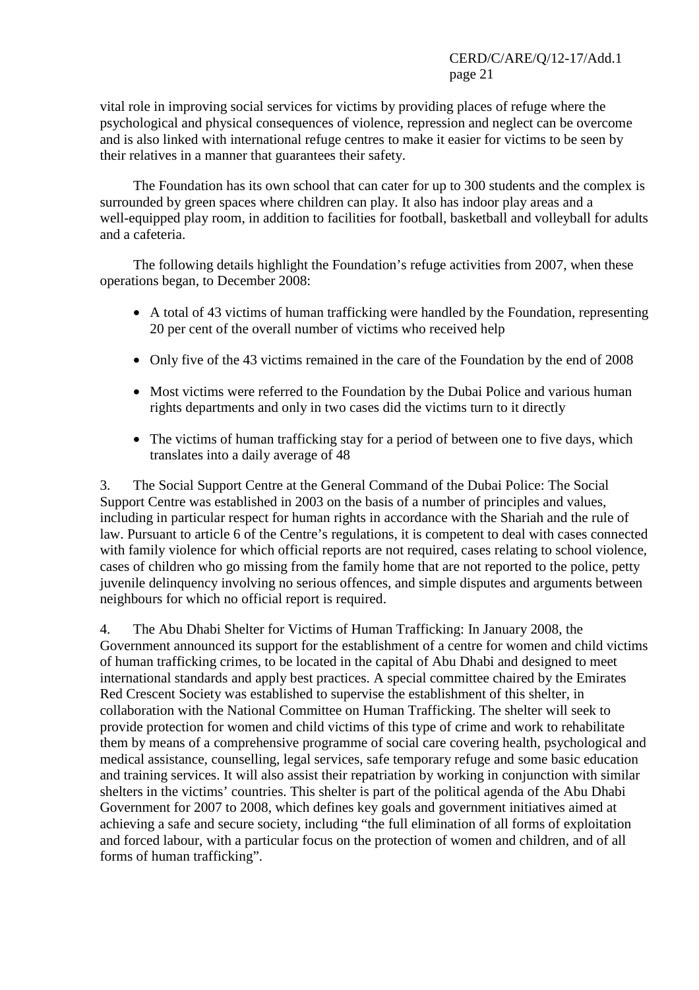vital role in improving social services for victims by providing places of refuge where the psychological and physical consequences of violence, repression and neglect can be overcome and is also linked with international refuge centres to make it easier for victims to be seen by their relatives in a manner that guarantees their safety.

 The Foundation has its own school that can cater for up to 300 students and the complex is surrounded by green spaces where children can play. It also has indoor play areas and a well-equipped play room, in addition to facilities for football, basketball and volleyball for adults and a cafeteria.

 The following details highlight the Foundation's refuge activities from 2007, when these operations began, to December 2008:

- A total of 43 victims of human trafficking were handled by the Foundation, representing 20 per cent of the overall number of victims who received help
- Only five of the 43 victims remained in the care of the Foundation by the end of 2008
- Most victims were referred to the Foundation by the Dubai Police and various human rights departments and only in two cases did the victims turn to it directly
- The victims of human trafficking stay for a period of between one to five days, which translates into a daily average of 48

3. The Social Support Centre at the General Command of the Dubai Police: The Social Support Centre was established in 2003 on the basis of a number of principles and values, including in particular respect for human rights in accordance with the Shariah and the rule of law. Pursuant to article 6 of the Centre's regulations, it is competent to deal with cases connected with family violence for which official reports are not required, cases relating to school violence, cases of children who go missing from the family home that are not reported to the police, petty juvenile delinquency involving no serious offences, and simple disputes and arguments between neighbours for which no official report is required.

4. The Abu Dhabi Shelter for Victims of Human Trafficking: In January 2008, the Government announced its support for the establishment of a centre for women and child victims of human trafficking crimes, to be located in the capital of Abu Dhabi and designed to meet international standards and apply best practices. A special committee chaired by the Emirates Red Crescent Society was established to supervise the establishment of this shelter, in collaboration with the National Committee on Human Trafficking. The shelter will seek to provide protection for women and child victims of this type of crime and work to rehabilitate them by means of a comprehensive programme of social care covering health, psychological and medical assistance, counselling, legal services, safe temporary refuge and some basic education and training services. It will also assist their repatriation by working in conjunction with similar shelters in the victims' countries. This shelter is part of the political agenda of the Abu Dhabi Government for 2007 to 2008, which defines key goals and government initiatives aimed at achieving a safe and secure society, including "the full elimination of all forms of exploitation and forced labour, with a particular focus on the protection of women and children, and of all forms of human trafficking".